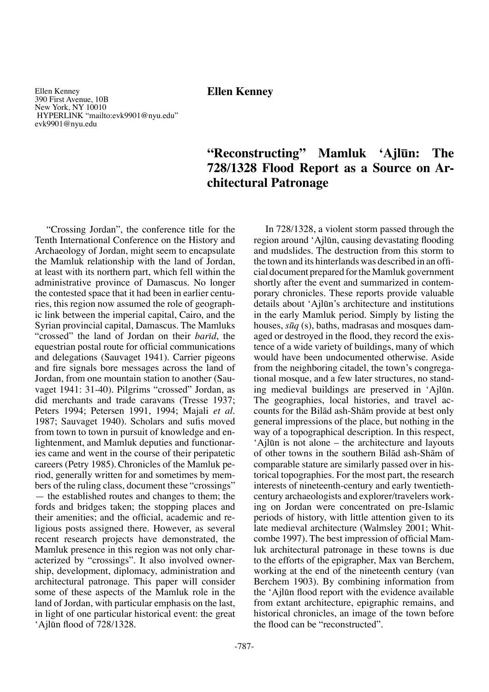# **Ellen Kenney**

Ellen Kenney 390 First Avenue, 10B New York, NY 10010 HYPERLINK "mailto:evk9901@nyu.edu" evk9901@nyu.edu

# **"Reconstructing" Mamluk 'Ajløn: The 728/1328 Flood Report as a Source on Architectural Patronage**

"Crossing Jordan", the conference title for the Tenth International Conference on the History and Archaeology of Jordan, might seem to encapsulate the Mamluk relationship with the land of Jordan, at least with its northern part, which fell within the administrative province of Damascus. No longer the contested space that it had been in earlier centuries, this region now assumed the role of geographic link between the imperial capital, Cairo, and the Syrian provincial capital, Damascus. The Mamluks "crossed" the land of Jordan on their *barid*, the equestrian postal route for official communications and delegations (Sauvaget 1941). Carrier pigeons and fire signals bore messages across the land of Jordan, from one mountain station to another (Sauvaget 1941: 31-40). Pilgrims "crossed" Jordan, as did merchants and trade caravans (Tresse 1937; Peters 1994; Petersen 1991, 1994; Majali *et al.* 1987; Sauvaget 1940). Scholars and sufis moved from town to town in pursuit of knowledge and enlightenment, and Mamluk deputies and functionaries came and went in the course of their peripatetic careers (Petry 1985).Chronicles of the Mamluk period, generally written for and sometimes by members of the ruling class, document these "crossings" — the established routes and changes to them; the fords and bridges taken; the stopping places and their amenities; and the official, academic and religious posts assigned there. However, as several recent research projects have demonstrated, the Mamluk presence in this region was not only characterized by "crossings". It also involved ownership, development, diplomacy, administration and architectural patronage. This paper will consider some of these aspects of the Mamluk role in the land of Jordan, with particular emphasis on the last, in light of one particular historical event: the great 'Ajløn flood of 728/1328.

In 728/1328, a violent storm passed through the region around 'Ajløn, causing devastating flooding and mudslides. The destruction from this storm to the town and its hinterlands was described in an official document prepared for the Mamluk government shortly after the event and summarized in contemporary chronicles. These reports provide valuable details about 'Ajløn's architecture and institutions in the early Mamluk period. Simply by listing the houses, *søq* (s), baths, madrasas and mosques damaged or destroyed in the flood, they record the existence of a wide variety of buildings, many of which would have been undocumented otherwise. Aside from the neighboring citadel, the town's congregational mosque, and a few later structures, no standing medieval buildings are preserved in 'Ajløn. The geographies, local histories, and travel accounts for the Bilåd ash-Shåm provide at best only general impressions of the place, but nothing in the way of a topographical description. In this respect, 'Ajløn is not alone – the architecture and layouts of other towns in the southern Bilåd ash-Shåm of comparable stature are similarly passed over in historical topographies. For the most part, the research interests of nineteenth-century and early twentiethcentury archaeologists and explorer/travelers working on Jordan were concentrated on pre-Islamic periods of history, with little attention given to its late medieval architecture (Walmsley 2001; Whitcombe 1997). The best impression of official Mamluk architectural patronage in these towns is due to the efforts of the epigrapher, Max van Berchem, working at the end of the nineteenth century (van Berchem 1903). By combining information from the 'Ajløn flood report with the evidence available from extant architecture, epigraphic remains, and historical chronicles, an image of the town before the flood can be "reconstructed".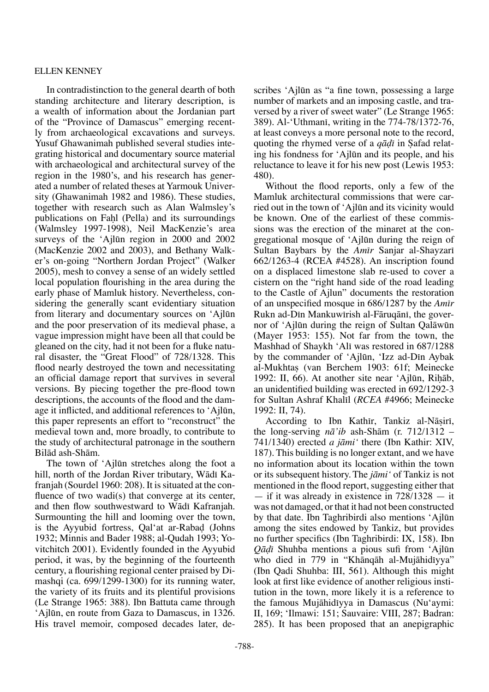In contradistinction to the general dearth of both standing architecture and literary description, is a wealth of information about the Jordanian part of the "Province of Damascus" emerging recently from archaeological excavations and surveys. Yusuf Ghawanimah published several studies integrating historical and documentary source material with archaeological and architectural survey of the region in the 1980's, and his research has generated a number of related theses at Yarmouk University (Ghawanimah 1982 and 1986). These studies, together with research such as Alan Walmsley's publications on Fahl (Pella) and its surroundings (Walmsley 1997-1998), Neil MacKenzie's area surveys of the 'Ajløn region in 2000 and 2002 (MacKenzie 2002 and 2003), and Bethany Walker's on-going "Northern Jordan Project" (Walker 2005), mesh to convey a sense of an widely settled local population flourishing in the area during the early phase of Mamluk history. Nevertheless, considering the generally scant evidentiary situation from literary and documentary sources on 'Ajløn and the poor preservation of its medieval phase, a vague impression might have been all that could be gleaned on the city, had it not been for a fluke natural disaster, the "Great Flood" of 728/1328. This flood nearly destroyed the town and necessitating an official damage report that survives in several versions. By piecing together the pre-flood town descriptions, the accounts of the flood and the damage it inflicted, and additional references to 'Ajløn, this paper represents an effort to "reconstruct" the medieval town and, more broadly, to contribute to the study of architectural patronage in the southern Bilåd ash-Shåm.

The town of 'Ajløn stretches along the foot a hill, north of the Jordan River tributary, Wādī Kafranjah (Sourdel 1960: 208). It is situated at the confluence of two wadi(s) that converge at its center, and then flow southwestward to Wādī Kafranjah. Surmounting the hill and looming over the town, is the Ayyubid fortress, Qal'at ar-Raba∂ (Johns 1932; Minnis and Bader 1988; al-Qudah 1993; Yovitchitch 2001). Evidently founded in the Ayyubid period, it was, by the beginning of the fourteenth century, a flourishing regional center praised by Dimashqi (ca. 699/1299-1300) for its running water, the variety of its fruits and its plentiful provisions (Le Strange 1965: 388). Ibn Battuta came through 'Ajløn, en route from Gaza to Damascus, in 1326. His travel memoir, composed decades later, describes 'Ajløn as "a fine town, possessing a large number of markets and an imposing castle, and traversed by a river of sweet water" (Le Strange 1965: 389). Al-'Uthmani, writing in the 774-78/1372-76, at least conveys a more personal note to the record, quoting the rhymed verse of a *qādī* in Safad relating his fondness for 'Ajløn and its people, and his reluctance to leave it for his new post (Lewis 1953: 480).

Without the flood reports, only a few of the Mamluk architectural commissions that were carried out in the town of 'Ajløn and its vicinity would be known. One of the earliest of these commissions was the erection of the minaret at the congregational mosque of 'Ajløn during the reign of Sultan Baybars by the *Amīr* Sanjar al-Shayzarī 662/1263-4 (RCEA #4528). An inscription found on a displaced limestone slab re-used to cover a cistern on the "right hand side of the road leading to the Castle of Ajlun" documents the restoration of an unspecified mosque in 686/1287 by the *Amπr* Rukn ad-Dīn Mankuwīrish al-Fāruqānī, the governor of 'Ajløn during the reign of Sultan Qalåwøn (Mayer 1953: 155). Not far from the town, the Mashhad of Shaykh 'Alī was restored in 687/1288 by the commander of 'Ajlūn, 'Izz ad-Din Aybak al-Mukhtaß (van Berchem 1903: 61f; Meinecke 1992: II, 66). At another site near 'Ajlūn, Rihāb, an unidentified building was erected in 692/1292-3 for Sultan Ashraf Khalil (*RCEA* #4966; Meinecke 1992: II, 74).

According to Ibn Kathir, Tankiz al-Nāsirī, the long-serving *nå'ib* ash-Shåm (r. 712/1312 – 741/1340) erected *a jåmi'* there (Ibn Kathir: XIV, 187). This building is no longer extant, and we have no information about its location within the town or its subsequent history.The *jåmi'* of Tankiz is not mentioned in the flood report, suggesting either that — if it was already in existence in  $728/1328 - it$ was not damaged, or that it had not been constructed by that date. Ibn Taghribirdi also mentions 'Ajløn among the sites endowed by Tankiz, but provides no further specifics (Ibn Taghribirdi: IX, 158). Ibn *Qå∂π* Shuhba mentions a pious sufi from 'Ajløn who died in 779 in "Khānqāh al-Mujāhidīyya" (Ibn Qadi Shuhba: III, 561). Although this might look at first like evidence of another religious institution in the town, more likely it is a reference to the famous Mujāhidīyya in Damascus (Nu'aymi: II, 169; 'Ilmawi: 151; Sauvaire: VIII, 287; Badran: 285). It has been proposed that an anepigraphic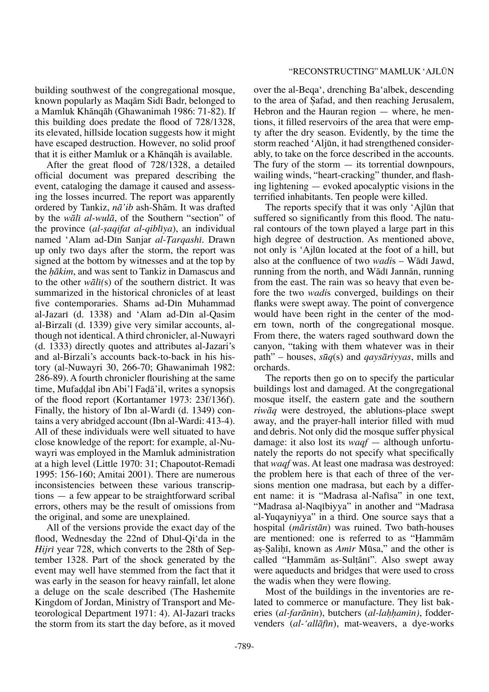building southwest of the congregational mosque, known popularly as Maqām Sidī Badr, belonged to a Mamluk Khånqåh (Ghawanimah 1986: 71-82). If this building does predate the flood of 728/1328, its elevated, hillside location suggests how it might have escaped destruction. However, no solid proof that it is either Mamluk or a Khånqåh is available.

After the great flood of 728/1328, a detailed official document was prepared describing the event, cataloging the damage it caused and assessing the losses incurred. The report was apparently ordered by Tankiz, *nå'ib* ash-Shåm. It was drafted by the *wålπ al-wulå*, of the Southern "section" of the province (*al-saqifat al-qiblīya*), an individual named 'Alam ad-Dīn Sanjar *al-Tarqashī*. Drawn up only two days after the storm, the report was signed at the bottom by witnesses and at the top by the *hākim*, and was sent to Tankiz in Damascus and to the other *wålπ(*s) of the southern district. It was summarized in the historical chronicles of at least five contemporaries. Shams ad-Din Muhammad al-Jazarī (d. 1338) and 'Alam ad-Dīn al-Qasim al-Birzalī (d. 1339) give very similar accounts, although not identical. A third chronicler, al-Nuwayri (d. 1333) directly quotes and attributes al-Jazari's and al-Birzali's accounts back-to-back in his history (al-Nuwayri 30, 266-70; Ghawanimah 1982: 286-89). A fourth chronicler flourishing at the same time, Mufa∂∂al ibn Abi'l Fa∂å'il, writes a synopsis of the flood report (Kortantamer 1973: 23f/136f). Finally, the history of Ibn al-Wardī (d. 1349) contains a very abridged account (Ibn al-Wardi: 413-4). All of these individuals were well situated to have close knowledge of the report: for example, al-Nuwayri was employed in the Mamluk administration at a high level (Little 1970: 31; Chapoutot-Remadi 1995: 156-160; Amitai 2001). There are numerous inconsistencies between these various transcriptions — a few appear to be straightforward scribal errors, others may be the result of omissions from the original, and some are unexplained.

All of the versions provide the exact day of the flood, Wednesday the 22nd of Dhul-Qi'da in the *Hijrī* year 728, which converts to the 28th of September 1328. Part of the shock generated by the event may well have stemmed from the fact that it was early in the season for heavy rainfall, let alone a deluge on the scale described (The Hashemite Kingdom of Jordan, Ministry of Transport and Meteorological Department 1971: 4). Al-Jazarī tracks the storm from its start the day before, as it moved over the al-Beqa', drenching Ba'albek, descending to the area of Safad, and then reaching Jerusalem, Hebron and the Hauran region — where, he mentions, it filled reservoirs of the area that were empty after the dry season. Evidently, by the time the storm reached 'Aljøn, it had strengthened considerably, to take on the force described in the accounts. The fury of the storm  $-$  its torrential downpours, wailing winds, "heart-cracking" thunder, and flashing lightening — evoked apocalyptic visions in the terrified inhabitants. Ten people were killed.

The reports specify that it was only 'Ajløn that suffered so significantly from this flood. The natural contours of the town played a large part in this high degree of destruction. As mentioned above, not only is 'Ajløn located at the foot of a hill, but also at the confluence of two *wadis* – Wādī Jawd, running from the north, and Wādī Jannān, running from the east. The rain was so heavy that even before the two *wadi*s converged, buildings on their flanks were swept away. The point of convergence would have been right in the center of the modern town, north of the congregational mosque. From there, the waters raged southward down the canyon, "taking with them whatever was in their path" – houses, *søq*(s) and *qaysåriyyas*, mills and orchards.

The reports then go on to specify the particular buildings lost and damaged. At the congregational mosque itself, the eastern gate and the southern *riwåq* were destroyed, the ablutions-place swept away, and the prayer-hall interior filled with mud and debris. Not only did the mosque suffer physical damage: it also lost its *waqf* — although unfortunately the reports do not specify what specifically that *waqf* was. At least one madrasa was destroyed: the problem here is that each of three of the versions mention one madrasa, but each by a different name: it is "Madrasa al-Nafisa" in one text, "Madrasa al-Naqībiyya" in another and "Madrasa al-Yuqayniyya" in a third. One source says that a hospital (*måristån*) was ruined. Two bath-houses are mentioned: one is referred to as "Hammām" aș-Șaliḥī, known as *Amīr* Mūsa," and the other is called "Hammām as-Sultānī". Also swept away were aqueducts and bridges that were used to cross the wadis when they were flowing.

Most of the buildings in the inventories are related to commerce or manufacture. They list bakeries (*al-farānīn*), butchers (*al-lahhamīn*), foddervenders (*al-'allāfin*), mat-weavers, a dye-works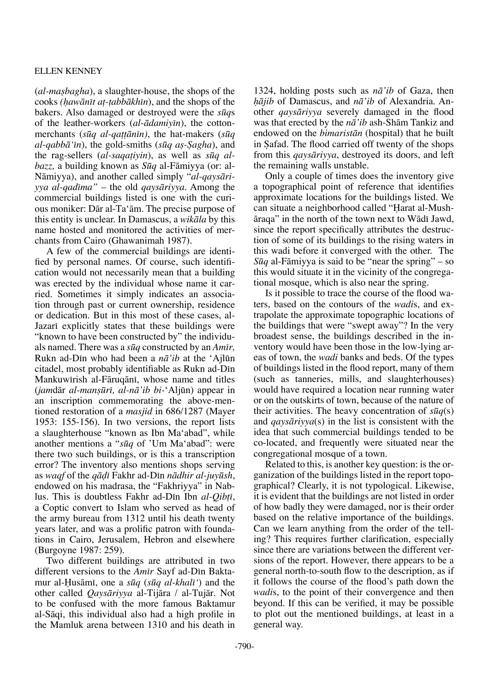(*al-maßbagha*), a slaughter-house, the shops of the cooks *(˙awånπt a†-†abbåkhπn*), and the shops of the bakers. Also damaged or destroyed were the *søq*s of the leather-workers (*al-ådamiyπn*), the cottonmerchants (*søq al-qa††ånπn)*, the hat-makers (*søq al-qabbå'πn*), the gold-smiths (*søq aß-Íagha*), and the rag-sellers (*al-saqa†iyin*), as well as *søq albazz,* a building known as *Søq* al-Fåmiyya (or: al-Nåmiyya), and another called simply "*al-qaysåriyya al-qadπma"* – the old *qaysåriyya*. Among the commercial buildings listed is one with the curious moniker: Dår al-Ta'åm. The precise purpose of this entity is unclear. In Damascus, a *wikåla* by this name hosted and monitored the activities of merchants from Cairo (Ghawanimah 1987).

A few of the commercial buildings are identified by personal names. Of course, such identification would not necessarily mean that a building was erected by the individual whose name it carried. Sometimes it simply indicates an association through past or current ownership, residence or dedication. But in this most of these cases, al-Jazari explicitly states that these buildings were "known to have been constructed by" the individuals named. There was a *søq* constructed by an *Amπr,* Rukn ad-Dπn who had been a *nå'ib* at the 'Ajløn citadel, most probably identifiable as Rukn ad-Dπn Mankuwirish al-Fāruqānī, whose name and titles (*jam*dår *al-manßørπ, al-nå'ib bi-*'Aljøn) appear in an inscription commemorating the above-mentioned restoration of a *masjid* in 686/1287 (Mayer 1953: 155-156). In two versions, the report lists a slaughterhouse "known as Ibn Ma'abad", while another mentions a "*søq* of 'Um Ma'abad": were there two such buildings, or is this a transcription error? The inventory also mentions shops serving as *waqf* of the *qå∂π* Fakhr ad-Dπn *nådhir al-juyøsh*, endowed on his madrasa, the "Fakhriyya" in Nablus. This is doubtless Fakhr ad-Din Ibn *al-Qibti*, a Coptic convert to Islam who served as head of the army bureau from 1312 until his death twenty years later, and was a prolific patron with foundations in Cairo, Jerusalem, Hebron and elsewhere (Burgoyne 1987: 259).

Two different buildings are attributed in two different versions to the *Amīr* Sayf ad-Dīn Baktamur al-Husāmī, one a *sūq* (*sūq al-khalī*<sup>'</sup>) and the other called *Qaysåriyya* al-Tijåra / al-Tujår. Not to be confused with the more famous Baktamur al-Såqi, this individual also had a high profile in the Mamluk arena between 1310 and his death in

1324, holding posts such as *nå'ib* of Gaza, then *˙åjib* of Damascus, and *nå'ib* of Alexandria. Another *qaysåriyya* severely damaged in the flood was that erected by the *nå'ib* ash-Shåm Tankiz and endowed on the *bimaristån* (hospital) that he built in Safad. The flood carried off twenty of the shops from this *qaysåriyya*, destroyed its doors, and left the remaining walls unstable.

Only a couple of times does the inventory give a topographical point of reference that identifies approximate locations for the buildings listed. We can situate a neighborhood called "Harat al-Mush- $\alpha$ <sup>"</sup> in the north of the town next to Wādī Jawd, since the report specifically attributes the destruction of some of its buildings to the rising waters in this wadi before it converged with the other. The *Søq* al-Fåmiyya is said to be "near the spring" – so this would situate it in the vicinity of the congregational mosque, which is also near the spring.

Is it possible to trace the course of the flood waters, based on the contours of the *wadi*s, and extrapolate the approximate topographic locations of the buildings that were "swept away"? In the very broadest sense, the buildings described in the inventory would have been those in the low-lying areas of town, the *wadi* banks and beds. Of the types of buildings listed in the flood report, many of them (such as tanneries, mills, and slaughterhouses) would have required a location near running water or on the outskirts of town, because of the nature of their activities. The heavy concentration of  $s\bar{u}q(s)$ and *qaysåriyya*(s) in the list is consistent with the idea that such commercial buildings tended to be co-located, and frequently were situated near the congregational mosque of a town.

Related to this, is another key question: is the organization of the buildings listed in the report topographical? Clearly, it is not typological. Likewise, it is evident that the buildings are not listed in order of how badly they were damaged, nor is their order based on the relative importance of the buildings. Can we learn anything from the order of the telling? This requires further clarification, especially since there are variations between the different versions of the report. However, there appears to be a general north-to-south flow to the description, as if it follows the course of the flood's path down the *wadi*s, to the point of their convergence and then beyond. If this can be verified, it may be possible to plot out the mentioned buildings, at least in a general way.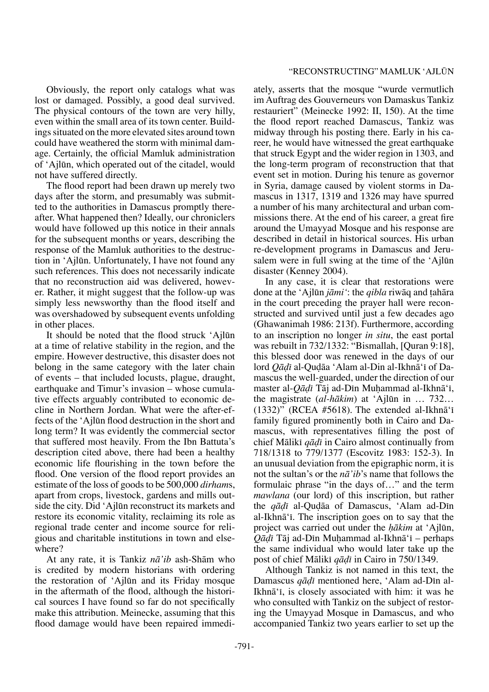Obviously, the report only catalogs what was lost or damaged. Possibly, a good deal survived. The physical contours of the town are very hilly, even within the small area of its town center. Buildings situated on the more elevated sites around town could have weathered the storm with minimal damage. Certainly, the official Mamluk administration of 'Ajløn, which operated out of the citadel, would not have suffered directly.

The flood report had been drawn up merely two days after the storm, and presumably was submitted to the authorities in Damascus promptly thereafter. What happened then? Ideally, our chroniclers would have followed up this notice in their annals for the subsequent months or years, describing the response of the Mamluk authorities to the destruction in 'Ajløn. Unfortunately, I have not found any such references. This does not necessarily indicate that no reconstruction aid was delivered, however. Rather, it might suggest that the follow-up was simply less newsworthy than the flood itself and was overshadowed by subsequent events unfolding in other places.

It should be noted that the flood struck 'Ajløn at a time of relative stability in the region, and the empire. However destructive, this disaster does not belong in the same category with the later chain of events – that included locusts, plague, draught, earthquake and Timur's invasion – whose cumulative effects arguably contributed to economic decline in Northern Jordan. What were the after-effects of the 'Ajløn flood destruction in the short and long term? It was evidently the commercial sector that suffered most heavily. From the Ibn Battuta's description cited above, there had been a healthy economic life flourishing in the town before the flood. One version of the flood report provides an estimate of the loss of goods to be 500,000 *dirham*s, apart from crops, livestock, gardens and mills outside the city. Did 'Ajløn reconstruct its markets and restore its economic vitality, reclaiming its role as regional trade center and income source for religious and charitable institutions in town and elsewhere?

At any rate, it is Tankiz *nå'ib* ash-Shåm who is credited by modern historians with ordering the restoration of 'Ajløn and its Friday mosque in the aftermath of the flood, although the historical sources I have found so far do not specifically make this attribution. Meinecke, assuming that this flood damage would have been repaired immediately, asserts that the mosque "wurde vermutlich im Auftrag des Gouverneurs von Damaskus Tankiz restauriert" (Meinecke 1992: II, 150). At the time the flood report reached Damascus, Tankiz was midway through his posting there. Early in his career, he would have witnessed the great earthquake that struck Egypt and the wider region in 1303, and the long-term program of reconstruction that that event set in motion. During his tenure as governor in Syria, damage caused by violent storms in Damascus in 1317, 1319 and 1326 may have spurred a number of his many architectural and urban commissions there. At the end of his career, a great fire around the Umayyad Mosque and his response are described in detail in historical sources. His urban re-development programs in Damascus and Jerusalem were in full swing at the time of the 'Ajlūn disaster (Kenney 2004).

In any case, it is clear that restorations were done at the 'Ajløn *jåmi'*: the *qibla* riwåq and †ahåra in the court preceding the prayer hall were reconstructed and survived until just a few decades ago (Ghawanimah 1986: 213f). Furthermore, according to an inscription no longer *in situ*, the east portal was rebuilt in 732/1332: "Bismallah, [Quran 9:18], this blessed door was renewed in the days of our lord *Oādī* al-Qudāa 'Alam al-Din al-Ikhnā'ī of Damascus the well-guarded, under the direction of our master al-*Qādī* Tāj ad-Dīn Muhammad al-Ikhnā'ī, the magistrate (*al-håkim*) at 'Ajløn in … 732… (1332)" (RCEA #5618). The extended al-Ikhn $\bar{a}$ ' family figured prominently both in Cairo and Damascus, with representatives filling the post of chief Målikπ *qå∂π* in Cairo almost continually from 718/1318 to 779/1377 (Escovitz 1983: 152-3). In an unusual deviation from the epigraphic norm, it is not the sultan's or the *nå'ib*'s name that follows the formulaic phrase "in the days of…" and the term *mawlana* (our lord) of this inscription, but rather the *qāḍī* al-Quḍāa of Damascus, 'Alam ad-Dīn al-Ikhnā' i. The inscription goes on to say that the project was carried out under the *hākim* at 'Ajlūn, *Qāḍī* Tāj ad-Dīn Muhammad al-Ikhnā'ī – perhaps the same individual who would later take up the post of chief Målikπ *qå∂π* in Cairo in 750/1349.

Although Tankiz is not named in this text, the Damascus *qāḍī* mentioned here, 'Alam ad-Dīn al-Ikhnā'i, is closely associated with him: it was he who consulted with Tankiz on the subject of restoring the Umayyad Mosque in Damascus, and who accompanied Tankiz two years earlier to set up the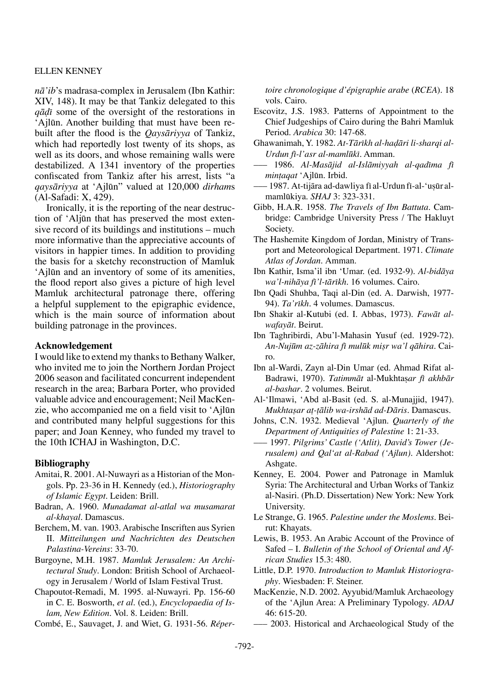*nå'ib*'s madrasa-complex in Jerusalem (Ibn Kathir: XIV, 148). It may be that Tankiz delegated to this *qå∂π* some of the oversight of the restorations in 'Ajløn. Another building that must have been rebuilt after the flood is the *Qaysåriyya* of Tankiz, which had reportedly lost twenty of its shops, as well as its doors, and whose remaining walls were destabilized. A 1341 inventory of the properties confiscated from Tankiz after his arrest, lists "a *qaysåriyya* at 'Ajløn" valued at 120,000 *dirham*s (Al-Safadi: X, 429).

Ironically, it is the reporting of the near destruction of 'Aljøn that has preserved the most extensive record of its buildings and institutions – much more informative than the appreciative accounts of visitors in happier times. In addition to providing the basis for a sketchy reconstruction of Mamluk 'Ajløn and an inventory of some of its amenities, the flood report also gives a picture of high level Mamluk architectural patronage there, offering a helpful supplement to the epigraphic evidence, which is the main source of information about building patronage in the provinces.

## **Acknowledgement**

I would like to extend my thanks to Bethany Walker, who invited me to join the Northern Jordan Project 2006 season and facilitated concurrent independent research in the area; Barbara Porter, who provided valuable advice and encouragement; Neil MacKenzie, who accompanied me on a field visit to 'Ajløn and contributed many helpful suggestions for this paper; and Joan Kenney, who funded my travel to the 10th ICHAJ in Washington, D.C.

#### **Bibliography**

- Amitai, R. 2001. Al-Nuwayri as a Historian of the Mongols. Pp. 23-36 in H. Kennedy (ed.), *Historiography of Islamic Egypt.* Leiden: Brill.
- Badran, A. 1960. *Munadamat al-atlal wa musamarat al-khayal*. Damascus.
- Berchem, M. van. 1903. Arabische Inscriften aus Syrien II. *Mitteilungen und Nachrichten des Deutschen Palastina-Vereins*: 33-70.
- Burgoyne, M.H. 1987. *Mamluk Jerusalem: An Architectural Study*. London: British School of Archaeology in Jerusalem / World of Islam Festival Trust.
- Chapoutot-Remadi, M. 1995. al-Nuwayri. Pp. 156-60 in C. E. Bosworth, *et al*. (ed.), *Encyclopaedia of Islam, New Edition*. Vol. 8. Leiden: Brill.

Combé, E., Sauvaget, J. and Wiet, G. 1931-56. *Réper-*

*toire chronologique d'épigraphie arabe* (*RCEA*). 18 vols. Cairo.

- Escovitz, J.S. 1983. Patterns of Appointment to the Chief Judgeships of Cairo during the Bahri Mamluk Period. *Arabica* 30: 147-68.
- Ghawanimah, Y. 1982. *At-Tårπkh al-ha∂åri li-sharqi al-Urdun fī-l'asr al-mamlūkī*. Amman.
- ––– 1986. *Al-Masåjid al-Islåmiyyah al-qadπma fπ min†aqat* 'Ajløn. Irbid.
- ––– 1987. At-tijåra ad-dawliya fπ al-Urdun fπ-al-'ußør almamløkiya. *SHAJ* 3: 323-331.
- Gibb, H.A.R. 1958. *The Travels of Ibn Battuta.* Cambridge: Cambridge University Press / The Hakluyt Society.
- The Hashemite Kingdom of Jordan, Ministry of Transport and Meteorological Department. 1971. *Climate Atlas of Jordan.* Amman.
- Ibn Kathir, Isma'il ibn 'Umar. (ed. 1932-9). *Al-bidåya wa'l-nihåya fπ'l-tårπkh*. 16 volumes. Cairo.
- Ibn Qadi Shuhba, Taqi al-Din (ed. A. Darwish, 1977- 94). *Ta'rπkh*. 4 volumes. Damascus.
- Ibn Shakir al-Kutubi (ed. I. Abbas, 1973). *Fawåt alwafayåt*. Beirut.
- Ibn Taghribirdi, Abu'l-Mahasin Yusuf (ed. 1929-72). *An-Nujøm az-zåhira fπ muløk mißr wa'l qåhira*. Cairo.
- Ibn al-Wardi, Zayn al-Din Umar (ed. Ahmad Rifat al-Badrawi, 1970). *Tatimmāt* al-Mukhtasar fī akhbār *al-bashar*. 2 volumes. Beirut.
- Al-'Ilmawi, 'Abd al-Basit (ed. S. al-Munajjid, 1947). *Mukhtaßar a†-†ålib wa-irshåd ad-Dåris*. Damascus.
- Johns, C.N. 1932. Medieval 'Ajlun. *Quarterly of the Department of Antiquities of Palestine* 1: 21-33.
- ––– 1997. *Pilgrims' Castle ('Atlit), David's Tower (Jerusalem) and Qal'at al-Rabad ('Ajlun)*. Aldershot: Ashgate.
- Kenney, E. 2004. Power and Patronage in Mamluk Syria: The Architectural and Urban Works of Tankiz al-Nasiri*.* (Ph.D. Dissertation) New York: New York University.
- Le Strange, G. 1965. *Palestine under the Moslems.* Beirut: Khayats.
- Lewis, B. 1953. An Arabic Account of the Province of Safed – I. *Bulletin of the School of Oriental and African Studies* 15.3: 480.
- Little, D.P. 1970. *Introduction to Mamluk Historiography*. Wiesbaden: F. Steiner.
- MacKenzie, N.D. 2002. Ayyubid/Mamluk Archaeology of the 'Ajlun Area: A Preliminary Typology. *ADAJ* 46: 615-20.
- ––– 2003. Historical and Archaeological Study of the